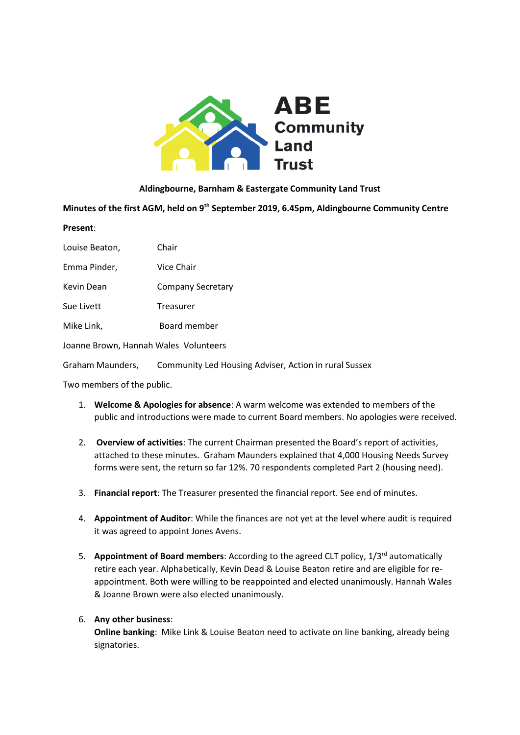

#### **Aldingbourne, Barnham & Eastergate Community Land Trust**

Minutes of the first AGM, held on 9<sup>th</sup> September 2019, 6.45pm, Aldingbourne Community Centre **Present**:

| Louise Beaton,                        | Chair                                                 |  |
|---------------------------------------|-------------------------------------------------------|--|
| Emma Pinder,                          | Vice Chair                                            |  |
| Kevin Dean                            | <b>Company Secretary</b>                              |  |
| Sue Livett                            | Treasurer                                             |  |
| Mike Link,                            | Board member                                          |  |
| Joanne Brown, Hannah Wales Volunteers |                                                       |  |
| Graham Maunders,                      | Community Led Housing Adviser, Action in rural Sussex |  |

Two members of the public.

- 1. **Welcome & Apologies for absence**: A warm welcome was extended to members of the public and introductions were made to current Board members. No apologies were received.
- 2. **Overview of activities**: The current Chairman presented the Board's report of activities, attached to these minutes. Graham Maunders explained that 4,000 Housing Needs Survey forms were sent, the return so far 12%. 70 respondents completed Part 2 (housing need).
- 3. **Financial report**: The Treasurer presented the financial report. See end of minutes.
- 4. **Appointment of Auditor**: While the finances are not yet at the level where audit is required it was agreed to appoint Jones Avens.
- 5. **Appointment of Board members**: According to the agreed CLT policy, 1/3rd automatically retire each year. Alphabetically, Kevin Dead & Louise Beaton retire and are eligible for reappointment. Both were willing to be reappointed and elected unanimously. Hannah Wales & Joanne Brown were also elected unanimously.

## 6. **Any other business**:

**Online banking**: Mike Link & Louise Beaton need to activate on line banking, already being signatories.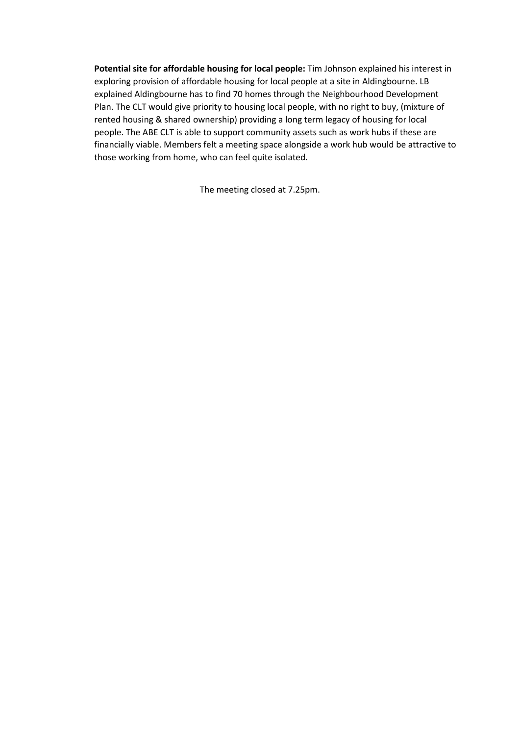**Potential site for affordable housing for local people:** Tim Johnson explained his interest in exploring provision of affordable housing for local people at a site in Aldingbourne. LB explained Aldingbourne has to find 70 homes through the Neighbourhood Development Plan. The CLT would give priority to housing local people, with no right to buy, (mixture of rented housing & shared ownership) providing a long term legacy of housing for local people. The ABE CLT is able to support community assets such as work hubs if these are financially viable. Members felt a meeting space alongside a work hub would be attractive to those working from home, who can feel quite isolated.

The meeting closed at 7.25pm.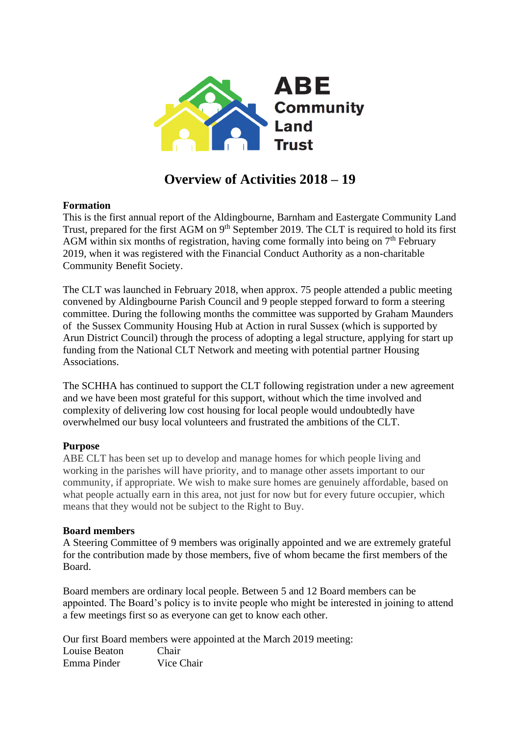

# **Overview of Activities 2018 – 19**

## **Formation**

This is the first annual report of the Aldingbourne, Barnham and Eastergate Community Land Trust, prepared for the first AGM on 9<sup>th</sup> September 2019. The CLT is required to hold its first AGM within six months of registration, having come formally into being on  $7<sup>th</sup>$  February 2019, when it was registered with the Financial Conduct Authority as a non-charitable Community Benefit Society.

The CLT was launched in February 2018, when approx. 75 people attended a public meeting convened by Aldingbourne Parish Council and 9 people stepped forward to form a steering committee. During the following months the committee was supported by Graham Maunders of the Sussex Community Housing Hub at Action in rural Sussex (which is supported by Arun District Council) through the process of adopting a legal structure, applying for start up funding from the National CLT Network and meeting with potential partner Housing Associations.

The SCHHA has continued to support the CLT following registration under a new agreement and we have been most grateful for this support, without which the time involved and complexity of delivering low cost housing for local people would undoubtedly have overwhelmed our busy local volunteers and frustrated the ambitions of the CLT.

## **Purpose**

ABE CLT has been set up to develop and manage homes for which people living and working in the parishes will have priority, and to manage other assets important to our community, if appropriate. We wish to make sure homes are genuinely affordable, based on what people actually earn in this area, not just for now but for every future occupier, which means that they would not be subject to the Right to Buy.

## **Board members**

A Steering Committee of 9 members was originally appointed and we are extremely grateful for the contribution made by those members, five of whom became the first members of the Board.

Board members are ordinary local people. Between 5 and 12 Board members can be appointed. The Board's policy is to invite people who might be interested in joining to attend a few meetings first so as everyone can get to know each other.

Our first Board members were appointed at the March 2019 meeting: Louise Beaton Chair Emma Pinder Vice Chair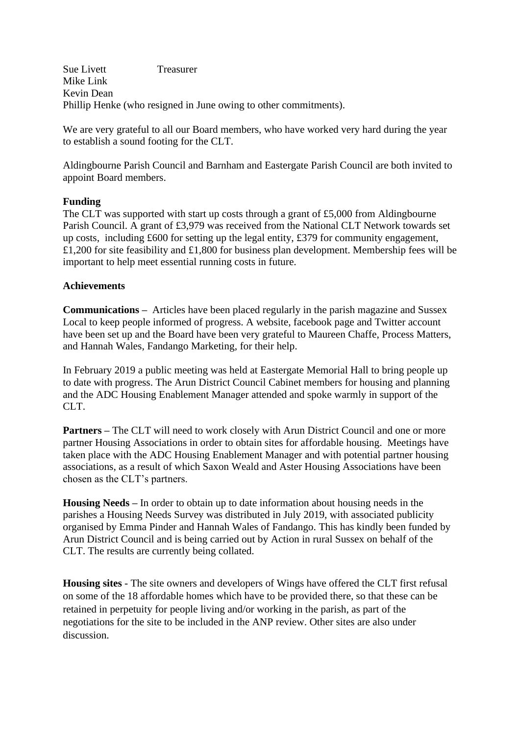Sue Livett Treasurer Mike Link Kevin Dean Phillip Henke (who resigned in June owing to other commitments).

We are very grateful to all our Board members, who have worked very hard during the year to establish a sound footing for the CLT.

Aldingbourne Parish Council and Barnham and Eastergate Parish Council are both invited to appoint Board members.

## **Funding**

The CLT was supported with start up costs through a grant of £5,000 from Aldingbourne Parish Council. A grant of £3,979 was received from the National CLT Network towards set up costs, including £600 for setting up the legal entity, £379 for community engagement, £1,200 for site feasibility and £1,800 for business plan development. Membership fees will be important to help meet essential running costs in future.

## **Achievements**

**Communications –** Articles have been placed regularly in the parish magazine and Sussex Local to keep people informed of progress. A website, facebook page and Twitter account have been set up and the Board have been very grateful to Maureen Chaffe, Process Matters, and Hannah Wales, Fandango Marketing, for their help.

In February 2019 a public meeting was held at Eastergate Memorial Hall to bring people up to date with progress. The Arun District Council Cabinet members for housing and planning and the ADC Housing Enablement Manager attended and spoke warmly in support of the CLT.

**Partners** – The CLT will need to work closely with Arun District Council and one or more partner Housing Associations in order to obtain sites for affordable housing. Meetings have taken place with the ADC Housing Enablement Manager and with potential partner housing associations, as a result of which Saxon Weald and Aster Housing Associations have been chosen as the CLT's partners.

**Housing Needs –** In order to obtain up to date information about housing needs in the parishes a Housing Needs Survey was distributed in July 2019, with associated publicity organised by Emma Pinder and Hannah Wales of Fandango. This has kindly been funded by Arun District Council and is being carried out by Action in rural Sussex on behalf of the CLT. The results are currently being collated.

**Housing sites** - The site owners and developers of Wings have offered the CLT first refusal on some of the 18 affordable homes which have to be provided there, so that these can be retained in perpetuity for people living and/or working in the parish, as part of the negotiations for the site to be included in the ANP review. Other sites are also under discussion.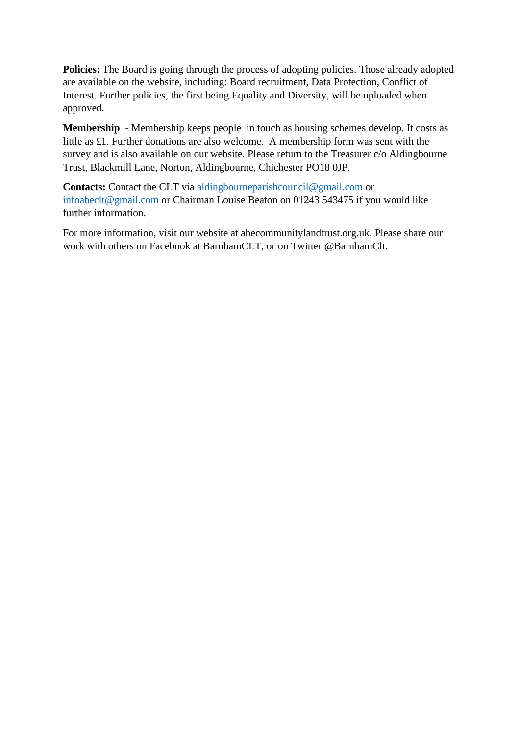**Policies:** The Board is going through the process of adopting policies. Those already adopted are available on the website, including: Board recruitment, Data Protection, Conflict of Interest. Further policies, the first being Equality and Diversity, will be uploaded when approved.

**Membership** - Membership keeps people in touch as housing schemes develop. It costs as little as £1. Further donations are also welcome. A membership form was sent with the survey and is also available on our website. Please return to the Treasurer c/o Aldingbourne Trust, Blackmill Lane, Norton, Aldingbourne, Chichester PO18 0JP.

**Contacts:** Contact the CLT via [aldingbourneparishcouncil@gmail.com](mailto:aldingbourneparishcouncil@gmail.com) or [infoabeclt@gmail.com](mailto:infoabeclt@gmail.com) or Chairman Louise Beaton on 01243 543475 if you would like further information.

For more information, visit our website at abecommunitylandtrust.org.uk. Please share our work with others on Facebook at BarnhamCLT, or on Twitter @BarnhamClt.